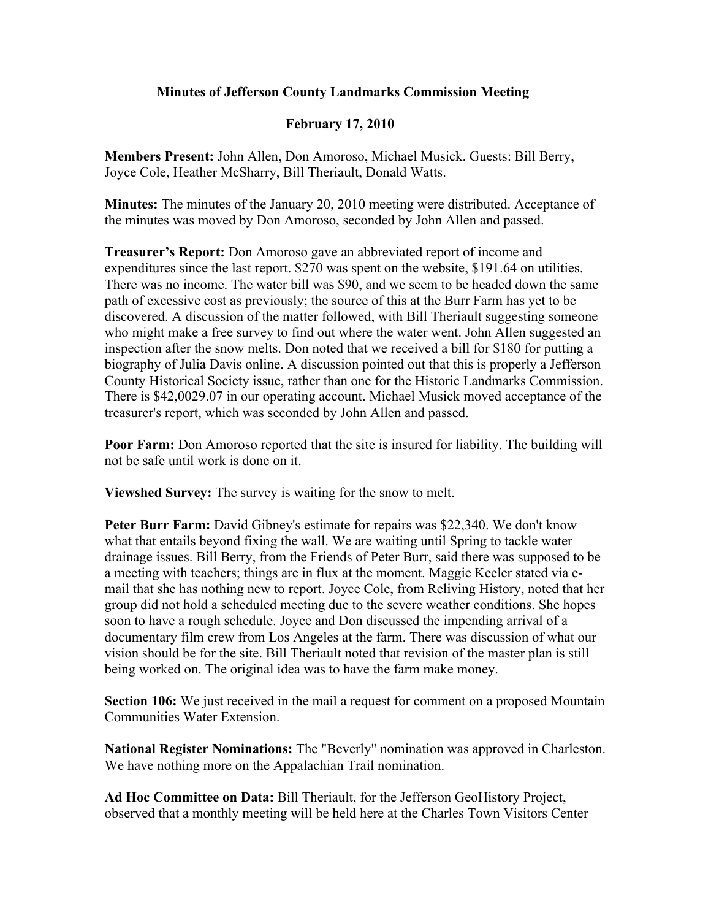## **Minutes of Jefferson County Landmarks Commission Meeting**

## **February 17, 2010**

**Members Present:** John Allen, Don Amoroso, Michael Musick. Guests: Bill Berry, Joyce Cole, Heather McSharry, Bill Theriault, Donald Watts.

**Minutes:** The minutes of the January 20, 2010 meeting were distributed. Acceptance of the minutes was moved by Don Amoroso, seconded by John Allen and passed.

**Treasurer's Report:** Don Amoroso gave an abbreviated report of income and expenditures since the last report. \$270 was spent on the website, \$191.64 on utilities. There was no income. The water bill was \$90, and we seem to be headed down the same path of excessive cost as previously; the source of this at the Burr Farm has yet to be discovered. A discussion of the matter followed, with Bill Theriault suggesting someone who might make a free survey to find out where the water went. John Allen suggested an inspection after the snow melts. Don noted that we received a bill for \$180 for putting a biography of Julia Davis online. A discussion pointed out that this is properly a Jefferson County Historical Society issue, rather than one for the Historic Landmarks Commission. There is \$42,0029.07 in our operating account. Michael Musick moved acceptance of the treasurer's report, which was seconded by John Allen and passed.

**Poor Farm:** Don Amoroso reported that the site is insured for liability. The building will not be safe until work is done on it.

**Viewshed Survey:** The survey is waiting for the snow to melt.

**Peter Burr Farm:** David Gibney's estimate for repairs was \$22,340. We don't know what that entails beyond fixing the wall. We are waiting until Spring to tackle water drainage issues. Bill Berry, from the Friends of Peter Burr, said there was supposed to be a meeting with teachers; things are in flux at the moment. Maggie Keeler stated via email that she has nothing new to report. Joyce Cole, from Reliving History, noted that her group did not hold a scheduled meeting due to the severe weather conditions. She hopes soon to have a rough schedule. Joyce and Don discussed the impending arrival of a documentary film crew from Los Angeles at the farm. There was discussion of what our vision should be for the site. Bill Theriault noted that revision of the master plan is still being worked on. The original idea was to have the farm make money.

**Section 106:** We just received in the mail a request for comment on a proposed Mountain Communities Water Extension.

**National Register Nominations:** The "Beverly" nomination was approved in Charleston. We have nothing more on the Appalachian Trail nomination.

**Ad Hoc Committee on Data:** Bill Theriault, for the Jefferson GeoHistory Project, observed that a monthly meeting will be held here at the Charles Town Visitors Center